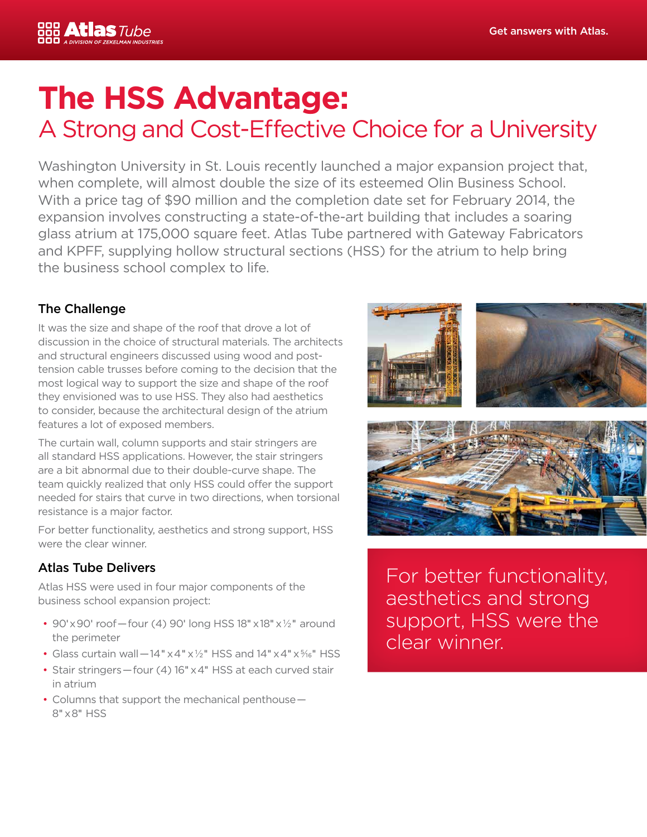

# **The HSS Advantage:** A Strong and Cost-Effective Choice for a University

Washington University in St. Louis recently launched a major expansion project that, when complete, will almost double the size of its esteemed Olin Business School. With a price tag of \$90 million and the completion date set for February 2014, the expansion involves constructing a state-of-the-art building that includes a soaring glass atrium at 175,000 square feet. Atlas Tube partnered with Gateway Fabricators and KPFF, supplying hollow structural sections (HSS) for the atrium to help bring the business school complex to life.

### The Challenge

It was the size and shape of the roof that drove a lot of discussion in the choice of structural materials. The architects and structural engineers discussed using wood and posttension cable trusses before coming to the decision that the most logical way to support the size and shape of the roof they envisioned was to use HSS. They also had aesthetics to consider, because the architectural design of the atrium features a lot of exposed members.

The curtain wall, column supports and stair stringers are all standard HSS applications. However, the stair stringers are a bit abnormal due to their double-curve shape. The team quickly realized that only HSS could offer the support needed for stairs that curve in two directions, when torsional resistance is a major factor.

For better functionality, aesthetics and strong support, HSS were the clear winner.

#### Atlas Tube Delivers

Atlas HSS were used in four major components of the business school expansion project:

- 90' $\times$ 90' roof-four (4) 90' long HSS 18" $\times$ 18" $\times$ 1/<sub>2</sub>" around the perimeter
- Glass curtain wall $-14" \times 4" \times 1/2"$  HSS and  $14" \times 4" \times 1/6"$  HSS
- Stair stringers — four (4) 16" x 4" HSS at each curved stair in atrium
- Columns that support the mechanical penthouse 8" x 8" HSS



For better functionality, aesthetics and strong support, HSS were the clear winner.